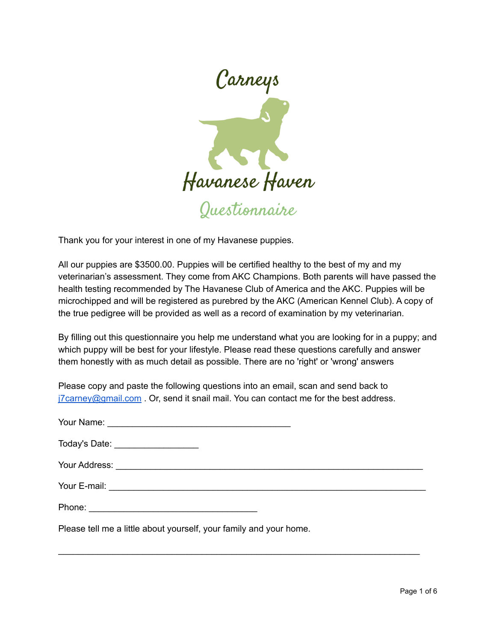

Thank you for your interest in one of my Havanese puppies.

All our puppies are \$3500.00. Puppies will be certified healthy to the best of my and my veterinarian's assessment. They come from AKC Champions. Both parents will have passed the health testing recommended by The Havanese Club of America and the AKC. Puppies will be microchipped and will be registered as purebred by the AKC (American Kennel Club). A copy of the true pedigree will be provided as well as a record of examination by my veterinarian.

By filling out this questionnaire you help me understand what you are looking for in a puppy; and which puppy will be best for your lifestyle. Please read these questions carefully and answer them honestly with as much detail as possible. There are no 'right' or 'wrong' answers

Please copy and paste the following questions into an email, scan and send back to  $j7$ carney@gmail.com . Or, send it snail mail. You can contact me for the best address.

| Today's Date: ____________________                                 |  |
|--------------------------------------------------------------------|--|
|                                                                    |  |
|                                                                    |  |
|                                                                    |  |
| Please tell me a little about yourself, your family and your home. |  |

\_\_\_\_\_\_\_\_\_\_\_\_\_\_\_\_\_\_\_\_\_\_\_\_\_\_\_\_\_\_\_\_\_\_\_\_\_\_\_\_\_\_\_\_\_\_\_\_\_\_\_\_\_\_\_\_\_\_\_\_\_\_\_\_\_\_\_\_\_\_\_\_\_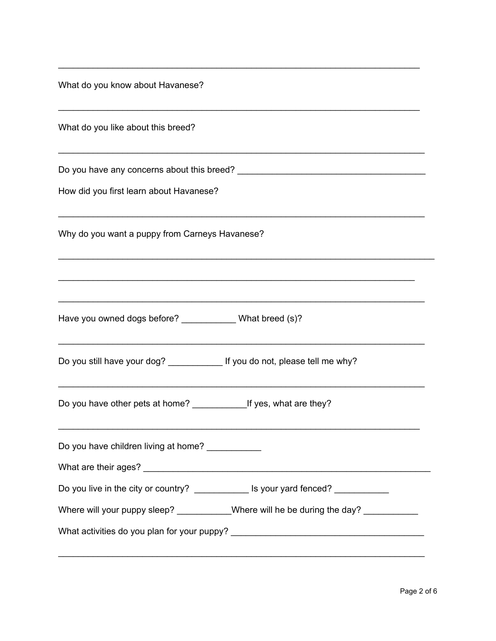What do you know about Havanese?

| What do you like about this breed? |  |
|------------------------------------|--|
|                                    |  |

Do you have any concerns about this breed? \_\_\_\_\_\_\_\_\_\_\_\_\_\_\_\_\_\_\_\_\_\_\_\_\_\_\_\_\_\_\_\_\_\_\_\_\_\_

\_\_\_\_\_\_\_\_\_\_\_\_\_\_\_\_\_\_\_\_\_\_\_\_\_\_\_\_\_\_\_\_\_\_\_\_\_\_\_\_\_\_\_\_\_\_\_\_\_\_\_\_\_\_\_\_\_\_\_\_\_\_\_\_\_\_\_\_\_\_\_\_\_

\_\_\_\_\_\_\_\_\_\_\_\_\_\_\_\_\_\_\_\_\_\_\_\_\_\_\_\_\_\_\_\_\_\_\_\_\_\_\_\_\_\_\_\_\_\_\_\_\_\_\_\_\_\_\_\_\_\_\_\_\_\_\_\_\_\_\_\_\_\_\_\_\_

\_\_\_\_\_\_\_\_\_\_\_\_\_\_\_\_\_\_\_\_\_\_\_\_\_\_\_\_\_\_\_\_\_\_\_\_\_\_\_\_\_\_\_\_\_\_\_\_\_\_\_\_\_\_\_\_\_\_\_\_\_\_\_\_\_\_\_\_\_\_\_\_\_\_

\_\_\_\_\_\_\_\_\_\_\_\_\_\_\_\_\_\_\_\_\_\_\_\_\_\_\_\_\_\_\_\_\_\_\_\_\_\_\_\_\_\_\_\_\_\_\_\_\_\_\_\_\_\_\_\_\_\_\_\_\_\_\_\_\_\_\_\_\_\_\_\_\_\_

\_\_\_\_\_\_\_\_\_\_\_\_\_\_\_\_\_\_\_\_\_\_\_\_\_\_\_\_\_\_\_\_\_\_\_\_\_\_\_\_\_\_\_\_\_\_\_\_\_\_\_\_\_\_\_\_\_\_\_\_\_\_\_\_\_\_\_\_\_\_\_\_\_\_\_\_

\_\_\_\_\_\_\_\_\_\_\_\_\_\_\_\_\_\_\_\_\_\_\_\_\_\_\_\_\_\_\_\_\_\_\_\_\_\_\_\_\_\_\_\_\_\_\_\_\_\_\_\_\_\_\_\_\_\_\_\_\_\_\_\_\_\_\_\_\_\_\_\_

\_\_\_\_\_\_\_\_\_\_\_\_\_\_\_\_\_\_\_\_\_\_\_\_\_\_\_\_\_\_\_\_\_\_\_\_\_\_\_\_\_\_\_\_\_\_\_\_\_\_\_\_\_\_\_\_\_\_\_\_\_\_\_\_\_\_\_\_\_\_\_\_\_\_

\_\_\_\_\_\_\_\_\_\_\_\_\_\_\_\_\_\_\_\_\_\_\_\_\_\_\_\_\_\_\_\_\_\_\_\_\_\_\_\_\_\_\_\_\_\_\_\_\_\_\_\_\_\_\_\_\_\_\_\_\_\_\_\_\_\_\_\_\_\_\_\_\_\_

\_\_\_\_\_\_\_\_\_\_\_\_\_\_\_\_\_\_\_\_\_\_\_\_\_\_\_\_\_\_\_\_\_\_\_\_\_\_\_\_\_\_\_\_\_\_\_\_\_\_\_\_\_\_\_\_\_\_\_\_\_\_\_\_\_\_\_\_\_\_\_\_\_\_

\_\_\_\_\_\_\_\_\_\_\_\_\_\_\_\_\_\_\_\_\_\_\_\_\_\_\_\_\_\_\_\_\_\_\_\_\_\_\_\_\_\_\_\_\_\_\_\_\_\_\_\_\_\_\_\_\_\_\_\_\_\_\_\_\_\_\_\_\_\_\_\_\_

How did you first learn about Havanese?

Why do you want a puppy from Carneys Havanese?

Have you owned dogs before? \_\_\_\_\_\_\_\_\_\_\_\_\_ What breed (s)?

Do you still have your dog? \_\_\_\_\_\_\_\_\_\_\_\_\_ If you do not, please tell me why?

Do you have other pets at home? \_\_\_\_\_\_\_\_\_\_\_If yes, what are they?

Do you have children living at home?

Do you live in the city or country? \_\_\_\_\_\_\_\_\_\_\_\_\_\_ Is your yard fenced? \_\_\_\_\_\_\_\_\_

\_\_\_\_\_\_\_\_\_\_\_\_\_\_\_\_\_\_\_\_\_\_\_\_\_\_\_\_\_\_\_\_\_\_\_\_\_\_\_\_\_\_\_\_\_\_\_\_\_\_\_\_\_\_\_\_\_\_\_\_\_\_\_\_\_\_\_\_\_\_\_\_\_\_

What are their ages? **What are their ages** and the set of the set of the set of the set of the set of the set of the set of the set of the set of the set of the set of the set of the set of the set of the set of the set of

Where will your puppy sleep? \_\_\_\_\_\_\_\_\_\_Where will he be during the day? \_\_\_\_\_\_\_\_\_

What activities do you plan for your puppy? \_\_\_\_\_\_\_\_\_\_\_\_\_\_\_\_\_\_\_\_\_\_\_\_\_\_\_\_\_\_\_\_\_\_\_\_\_\_\_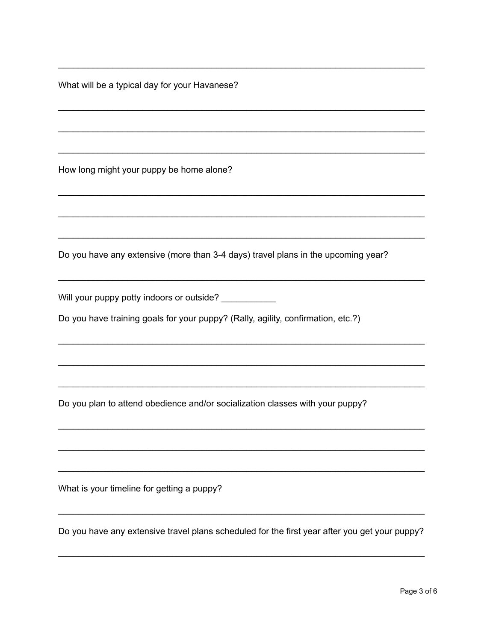What will be a typical day for your Havanese?

How long might your puppy be home alone?

Do you have any extensive (more than 3-4 days) travel plans in the upcoming year?

Will your puppy potty indoors or outside? \_\_\_\_\_\_\_\_\_\_

Do you have training goals for your puppy? (Rally, agility, confirmation, etc.?)

Do you plan to attend obedience and/or socialization classes with your puppy?

What is your timeline for getting a puppy?

Do you have any extensive travel plans scheduled for the first year after you get your puppy?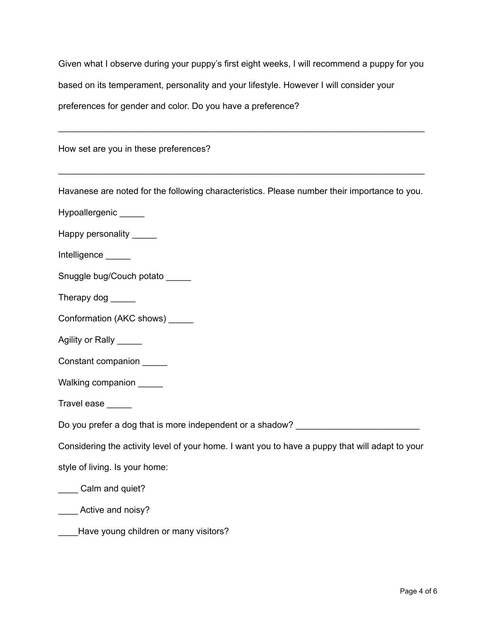Given what I observe during your puppy's first eight weeks, I will recommend a puppy for you based on its temperament, personality and your lifestyle. However I will consider your preferences for gender and color. Do you have a preference?

\_\_\_\_\_\_\_\_\_\_\_\_\_\_\_\_\_\_\_\_\_\_\_\_\_\_\_\_\_\_\_\_\_\_\_\_\_\_\_\_\_\_\_\_\_\_\_\_\_\_\_\_\_\_\_\_\_\_\_\_\_\_\_\_\_\_\_\_\_\_\_\_\_\_

How set are you in these preferences?

Havanese are noted for the following characteristics. Please number their importance to you.

\_\_\_\_\_\_\_\_\_\_\_\_\_\_\_\_\_\_\_\_\_\_\_\_\_\_\_\_\_\_\_\_\_\_\_\_\_\_\_\_\_\_\_\_\_\_\_\_\_\_\_\_\_\_\_\_\_\_\_\_\_\_\_\_\_\_\_\_\_\_\_\_\_\_

- Hypoallergenic \_\_\_\_\_
- Happy personality \_\_\_\_\_\_
- Intelligence
- Snuggle bug/Couch potato
- Therapy dog \_\_\_\_\_\_
- Conformation (AKC shows) \_\_\_\_\_
- Agility or Rally \_\_\_\_\_
- Constant companion
- Walking companion \_\_\_\_\_

Travel ease \_\_\_\_\_

Do you prefer a dog that is more independent or a shadow?

Considering the activity level of your home. I want you to have a puppy that will adapt to your

style of living. Is your home:

\_\_\_\_ Calm and quiet?

**Example 2** Active and noisy?

Have young children or many visitors?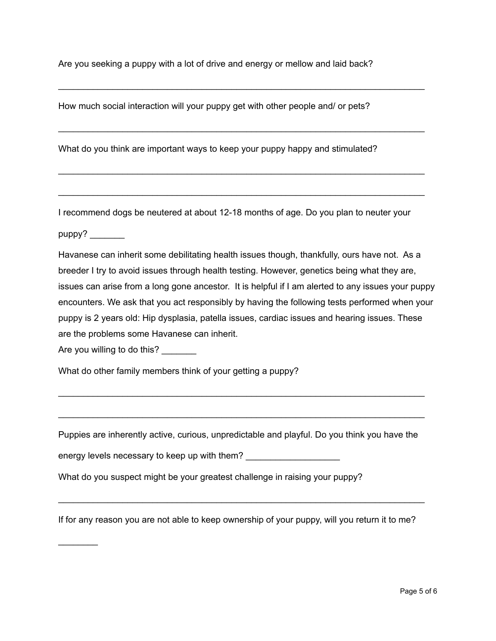Are you seeking a puppy with a lot of drive and energy or mellow and laid back?

\_\_\_\_\_\_\_\_\_\_\_\_\_\_\_\_\_\_\_\_\_\_\_\_\_\_\_\_\_\_\_\_\_\_\_\_\_\_\_\_\_\_\_\_\_\_\_\_\_\_\_\_\_\_\_\_\_\_\_\_\_\_\_\_\_\_\_\_\_\_\_\_\_\_

\_\_\_\_\_\_\_\_\_\_\_\_\_\_\_\_\_\_\_\_\_\_\_\_\_\_\_\_\_\_\_\_\_\_\_\_\_\_\_\_\_\_\_\_\_\_\_\_\_\_\_\_\_\_\_\_\_\_\_\_\_\_\_\_\_\_\_\_\_\_\_\_\_\_

\_\_\_\_\_\_\_\_\_\_\_\_\_\_\_\_\_\_\_\_\_\_\_\_\_\_\_\_\_\_\_\_\_\_\_\_\_\_\_\_\_\_\_\_\_\_\_\_\_\_\_\_\_\_\_\_\_\_\_\_\_\_\_\_\_\_\_\_\_\_\_\_\_\_

\_\_\_\_\_\_\_\_\_\_\_\_\_\_\_\_\_\_\_\_\_\_\_\_\_\_\_\_\_\_\_\_\_\_\_\_\_\_\_\_\_\_\_\_\_\_\_\_\_\_\_\_\_\_\_\_\_\_\_\_\_\_\_\_\_\_\_\_\_\_\_\_\_\_

How much social interaction will your puppy get with other people and/ or pets?

What do you think are important ways to keep your puppy happy and stimulated?

I recommend dogs be neutered at about 12-18 months of age. Do you plan to neuter your

puppy?

 $\mathcal{L}$  , we have the set of  $\mathcal{L}$ 

Havanese can inherit some debilitating health issues though, thankfully, ours have not. As a breeder I try to avoid issues through health testing. However, genetics being what they are, issues can arise from a long gone ancestor. It is helpful if I am alerted to any issues your puppy encounters. We ask that you act responsibly by having the following tests performed when your puppy is 2 years old: Hip dysplasia, patella issues, cardiac issues and hearing issues. These are the problems some Havanese can inherit.

Are you willing to do this?

What do other family members think of your getting a puppy?

Puppies are inherently active, curious, unpredictable and playful. Do you think you have the

\_\_\_\_\_\_\_\_\_\_\_\_\_\_\_\_\_\_\_\_\_\_\_\_\_\_\_\_\_\_\_\_\_\_\_\_\_\_\_\_\_\_\_\_\_\_\_\_\_\_\_\_\_\_\_\_\_\_\_\_\_\_\_\_\_\_\_\_\_\_\_\_\_\_

\_\_\_\_\_\_\_\_\_\_\_\_\_\_\_\_\_\_\_\_\_\_\_\_\_\_\_\_\_\_\_\_\_\_\_\_\_\_\_\_\_\_\_\_\_\_\_\_\_\_\_\_\_\_\_\_\_\_\_\_\_\_\_\_\_\_\_\_\_\_\_\_\_\_

| energy levels necessary to keep up with them? |  |
|-----------------------------------------------|--|
|                                               |  |

What do you suspect might be your greatest challenge in raising your puppy?

If for any reason you are not able to keep ownership of your puppy, will you return it to me?

\_\_\_\_\_\_\_\_\_\_\_\_\_\_\_\_\_\_\_\_\_\_\_\_\_\_\_\_\_\_\_\_\_\_\_\_\_\_\_\_\_\_\_\_\_\_\_\_\_\_\_\_\_\_\_\_\_\_\_\_\_\_\_\_\_\_\_\_\_\_\_\_\_\_